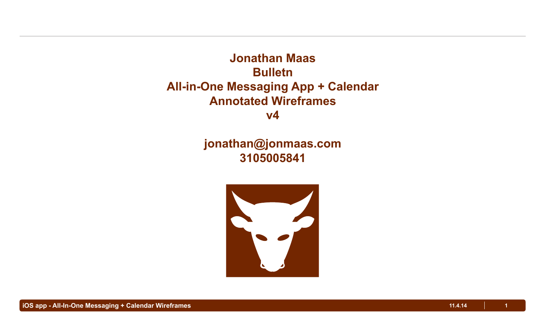**Jonathan Maas Bulletn All-in-One Messaging App + Calendar Annotated Wireframes v4**

# **jonathan@jonmaas.com 3105005841**

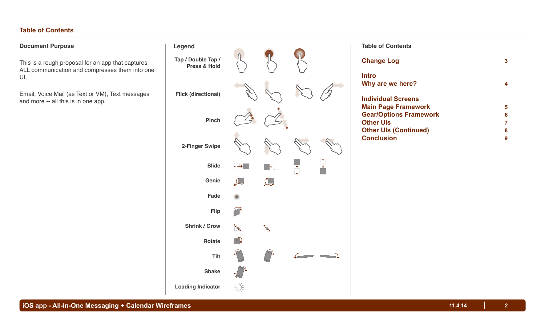## **Table of Contents**

## **Document Purpose**

This is a rough proposal for an app that captures ALL communication and compresses them into one UI.

Email, Voice Mail (as Text or VM), Text messages and more -- all this is in one app.

| <b>Legend</b>                      |            |              |            |  |
|------------------------------------|------------|--------------|------------|--|
| Tap / Double Tap /<br>Press & Hold |            |              |            |  |
| <b>Flick (directional)</b>         |            |              |            |  |
| <b>Pinch</b>                       |            |              |            |  |
| 2-Finger Swipe                     |            |              |            |  |
| <b>Slide</b>                       | $\mapsto$  | $\leftarrow$ | $\uparrow$ |  |
| Genie                              |            | $\sum$       |            |  |
| Fade                               |            |              |            |  |
| <b>Flip</b>                        |            |              |            |  |
| <b>Shrink / Grow</b>               | ╲          | ╲            |            |  |
| <b>Rotate</b>                      | $\bigcirc$ |              |            |  |
| <b>Tilt</b>                        |            |              |            |  |
| <b>Shake</b>                       |            |              |            |  |
| <b>Loading Indicator</b>           |            |              |            |  |

#### **Table of Contents**

| <b>Change Log</b>             | 3 |
|-------------------------------|---|
| Intro<br>Why are we here?     |   |
| <b>Individual Screens</b>     |   |
| <b>Main Page Framework</b>    | 5 |
| <b>Gear/Options Framework</b> | 6 |
| <b>Other Uls</b>              | 7 |
| <b>Other UIs (Continued)</b>  | 8 |
| <b>Conclusion</b>             | 9 |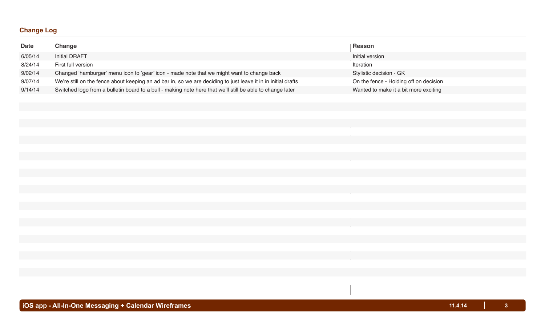## **Change Log**

| <b>Date</b> | Change                                                                                                        | <b>Reason</b>                          |
|-------------|---------------------------------------------------------------------------------------------------------------|----------------------------------------|
| 6/05/14     | <b>Initial DRAFT</b>                                                                                          | Initial version                        |
| 8/24/14     | First full version                                                                                            | Iteration                              |
| 9/02/14     | Changed 'hamburger' menu icon to 'gear' icon - made note that we might want to change back                    | Stylistic decision - GK                |
| 9/07/14     | We're still on the fence about keeping an ad bar in, so we are deciding to just leave it in in initial drafts | On the fence - Holding off on decision |
| 9/14/14     | Switched logo from a bulletin board to a bull - making note here that we'll still be able to change later     | Wanted to make it a bit more exciting  |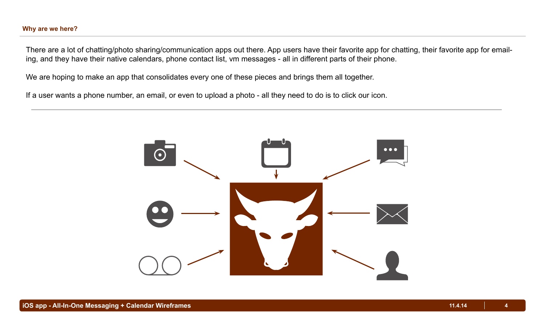## **Why are we here?**

There are a lot of chatting/photo sharing/communication apps out there. App users have their favorite app for chatting, their favorite app for emailing, and they have their native calendars, phone contact list, vm messages - all in different parts of their phone.

We are hoping to make an app that consolidates every one of these pieces and brings them all together.

If a user wants a phone number, an email, or even to upload a photo - all they need to do is to click our icon.

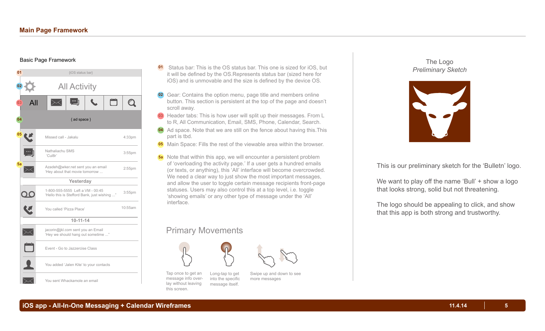#### Basic Page Framework



- **<sup>01</sup>** Status bar: This is the OS status bar. This one is sized for iOS, but it will be defined by the OS.Represents status bar (sized here for iOS) and is unmovable and the size is defined by the device OS.
- **02** Gear: Contains the option menu, page title and members online button. This section is persistent at the top of the page and doesn't scroll away.
- **03** Header tabs: This is how user will split up their messages. From L to R, All Communication, Email, SMS, Phone, Calendar, Search.
- **04** Ad space. Note that we are still on the fence about having this.This part is tbd.
- **05** Main Space: Fills the rest of the viewable area within the browser.
- Note that within this app, we will encounter a persistent problem **5a** of 'overloading the activity page.' If a user gets a hundred emails (or texts, or anything), this 'All' interface will become overcrowded. We need a clear way to just show the most important messages, and allow the user to toggle certain message recipients front-page statuses. Users may also control this at a top level, i.e. toggle 'showing emails' or any other type of message under the 'All' interface.

# Primary Movements



Tap once to get an message info overlay without leaving this screen. Long-tap to get into the specific message itself.



more messages

The Logo *Preliminary Sketch*

![](_page_4_Picture_15.jpeg)

This is our preliminary sketch for the 'Bulletn' logo.

We want to play off the name 'Bull' + show a logo that looks strong, solid but not threatening.

The logo should be appealing to click, and show that this app is both strong and trustworthy.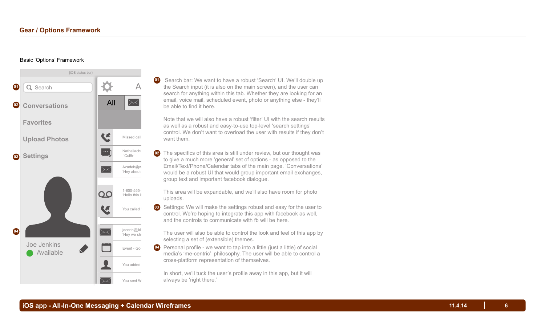#### Basic 'Options' Framework

![](_page_5_Figure_2.jpeg)

A the Search input (it is also on the main screen), and the user can **01** Search bar: We want to have a robust 'Search' UI. We'll double up search for anything within this tab. Whether they are looking for an email, voice mail, scheduled event, photo or anything else - they'll be able to find it here.

Note that we will also have a robust 'filter' UI with the search results as well as a robust and easy-to-use top-level 'search settings' control. We don't want to overload the user with results if they don't want them.

Azadeniga<br>
"Hey about would be a robust UI that would group important email exchanges, **Yesterday** group text and important facebook dialogue. 02 The specifics of this area is still under review, but our thought was to give a much more 'general' set of options - as opposed to the Email/Text/Phone/Calendar tabs of the main page. 'Conversations'

 $1-800-555$ - $\blacksquare$  This area will be expandable, and we'll also have room for photo uploads.

> **10-11-14** and the controls to communicate with fb will be here. **03** Settings: We will make the settings robust and easy for the user to control. We're hoping to integrate this app with facebook as well,

The user will also be able to control the look and feel of this app by selecting a set of (extensible) themes.

Event - Go **04** Personal profile - we want to tap into a little (just a little) of social media's 'me-centric' philosophy. The user will be able to control a cross-platform representation of themselves.

> In short, we'll tuck the user's profile away in this app, but it will always be 'right there.'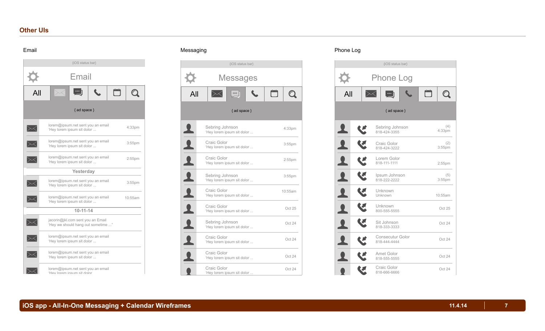## **Other UIs**

#### Email

![](_page_6_Figure_2.jpeg)

#### Messaging

![](_page_6_Picture_4.jpeg)

#### Phone Log

![](_page_6_Figure_6.jpeg)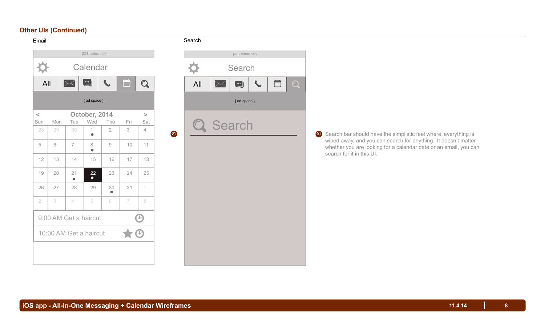## **Other UIs (Continued)**

Email

| {iOS status bar}                     |     |                          |                   |                                                           |      |                           |
|--------------------------------------|-----|--------------------------|-------------------|-----------------------------------------------------------|------|---------------------------|
| Calendar                             |     |                          |                   |                                                           |      |                           |
| All                                  |     | $\succsim$               | $\dddot{\bullet}$ |                                                           | أتنا | $\boldsymbol{\mathsf{Q}}$ |
| { ad space }                         |     |                          |                   |                                                           |      |                           |
| $\,<\,$                              |     |                          | October, 2014     |                                                           |      | $\geq$                    |
| Sun                                  | Mon | Tue                      | Wed               | Thu                                                       | Fri  | Sat                       |
| 28                                   | 29  | 30                       | 1<br>$\bullet$    | $\overline{2}$                                            | 3    | $\overline{4}$            |
| 5                                    | 6   | $\overline{7}$           | 8<br>$\bullet$    | $\mathcal{G}% _{M_{1},M_{2}}^{\alpha,\beta}(\mathcal{G})$ | 10   | 11                        |
| 12                                   | 13  | 14                       | 15                | 16                                                        | 17   | 18                        |
| 19                                   | 20  | 21<br>$\bullet$          | 22<br>$\bullet$   | 23                                                        | 24   | 25                        |
| 26                                   | 27  | 28                       | 29                | 30                                                        | 31   | 1                         |
| $\overline{2}$                       | 3   | $\overline{\mathcal{A}}$ | 5                 | 6                                                         | 7    | 8                         |
| 9:00 AM Get a haircut<br>$\mathbf c$ |     |                          |                   |                                                           |      |                           |
| 10:00 AM Get a haircut               |     |                          |                   |                                                           |      |                           |
|                                      |     |                          |                   |                                                           |      |                           |

#### Search

![](_page_7_Picture_3.jpeg)

 Search bar should have the simplistic feel where 'everything is wiped away, and you can search for anything.' It doesn't matter whether you are looking for a calendar date or an email, you can search for it in this UI.